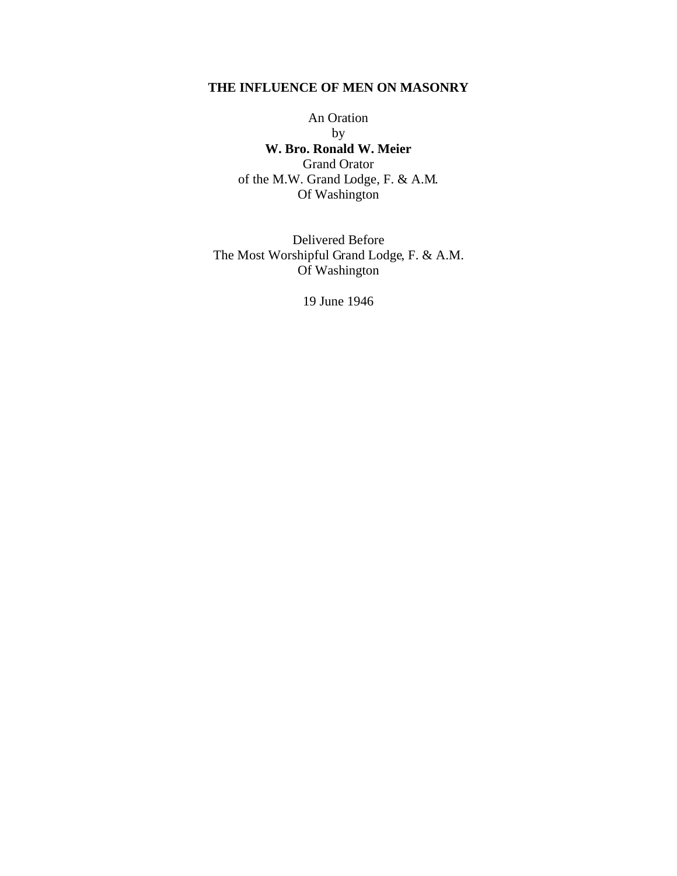# **THE INFLUENCE OF MEN ON MASONRY**

An Oration by **W. Bro. Ronald W. Meier** Grand Orator of the M.W. Grand Lodge, F. & A.M. Of Washington

Delivered Before The Most Worshipful Grand Lodge, F. & A.M. Of Washington

19 June 1946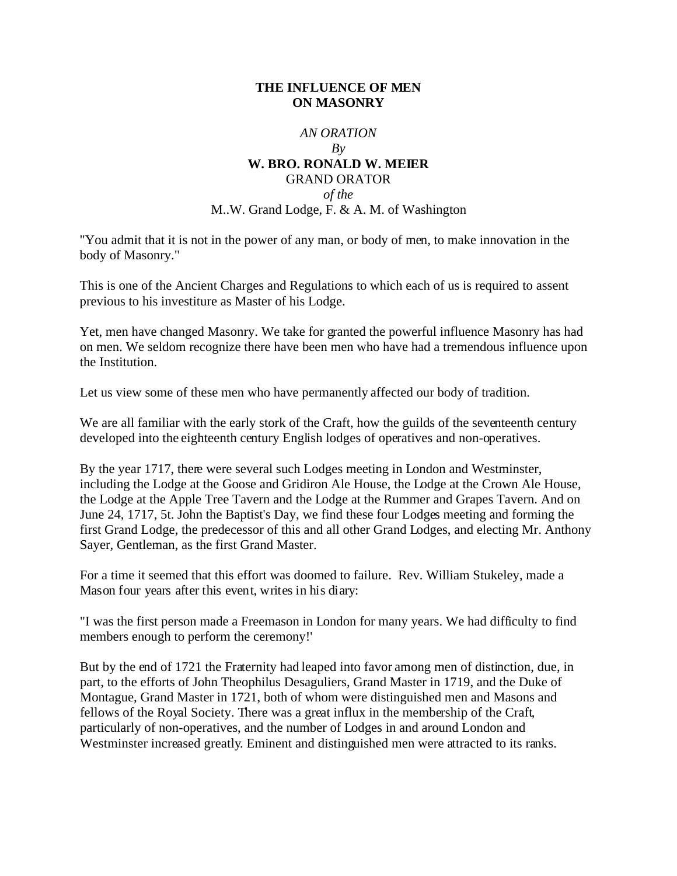# **THE INFLUENCE OF MEN ON MASONRY**

### *AN ORATION*

#### *By* **W. BRO. RONALD W. MEIER**

# GRAND ORATOR *of the* M..W. Grand Lodge, F. & A. M. of Washington

"You admit that it is not in the power of any man, or body of men, to make innovation in the body of Masonry."

This is one of the Ancient Charges and Regulations to which each of us is required to assent previous to his investiture as Master of his Lodge.

Yet, men have changed Masonry. We take for granted the powerful influence Masonry has had on men. We seldom recognize there have been men who have had a tremendous influence upon the Institution.

Let us view some of these men who have permanently affected our body of tradition.

We are all familiar with the early stork of the Craft, how the guilds of the seventeenth century developed into the eighteenth century English lodges of operatives and non-operatives.

By the year 1717, there were several such Lodges meeting in London and Westminster, including the Lodge at the Goose and Gridiron Ale House, the Lodge at the Crown Ale House, the Lodge at the Apple Tree Tavern and the Lodge at the Rummer and Grapes Tavern. And on June 24, 1717, 5t. John the Baptist's Day, we find these four Lodges meeting and forming the first Grand Lodge, the predecessor of this and all other Grand Lodges, and electing Mr. Anthony Sayer, Gentleman, as the first Grand Master.

For a time it seemed that this effort was doomed to failure. Rev. William Stukeley, made a Mason four years after this event, writes in his diary:

"I was the first person made a Freemason in London for many years. We had difficulty to find members enough to perform the ceremony!'

But by the end of 1721 the Fraternity had leaped into favor among men of distinction, due, in part, to the efforts of John Theophilus Desaguliers, Grand Master in 1719, and the Duke of Montague, Grand Master in 1721, both of whom were distinguished men and Masons and fellows of the Royal Society. There was a great influx in the membership of the Craft, particularly of non-operatives, and the number of Lodges in and around London and Westminster increased greatly. Eminent and distinguished men were attracted to its ranks.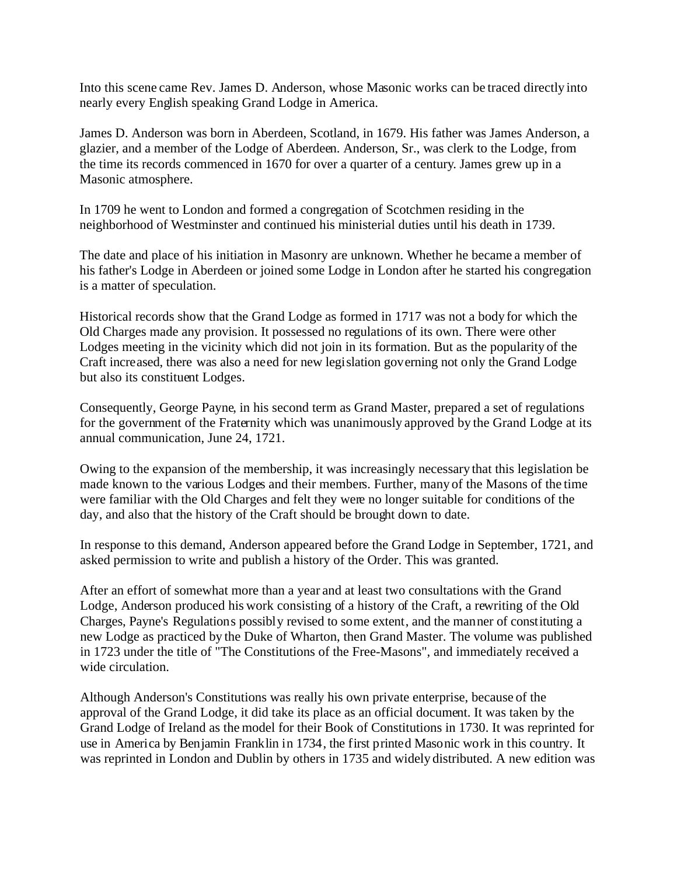Into this scene came Rev. James D. Anderson, whose Masonic works can be traced directly into nearly every English speaking Grand Lodge in America.

James D. Anderson was born in Aberdeen, Scotland, in 1679. His father was James Anderson, a glazier, and a member of the Lodge of Aberdeen. Anderson, Sr., was clerk to the Lodge, from the time its records commenced in 1670 for over a quarter of a century. James grew up in a Masonic atmosphere.

In 1709 he went to London and formed a congregation of Scotchmen residing in the neighborhood of Westminster and continued his ministerial duties until his death in 1739.

The date and place of his initiation in Masonry are unknown. Whether he became a member of his father's Lodge in Aberdeen or joined some Lodge in London after he started his congregation is a matter of speculation.

Historical records show that the Grand Lodge as formed in 1717 was not a body for which the Old Charges made any provision. It possessed no regulations of its own. There were other Lodges meeting in the vicinity which did not join in its formation. But as the popularity of the Craft increased, there was also a need for new legislation governing not only the Grand Lodge but also its constituent Lodges.

Consequently, George Payne, in his second term as Grand Master, prepared a set of regulations for the government of the Fraternity which was unanimously approved by the Grand Lodge at its annual communication, June 24, 1721.

Owing to the expansion of the membership, it was increasingly necessary that this legislation be made known to the various Lodges and their members. Further, many of the Masons of the time were familiar with the Old Charges and felt they were no longer suitable for conditions of the day, and also that the history of the Craft should be brought down to date.

In response to this demand, Anderson appeared before the Grand Lodge in September, 1721, and asked permission to write and publish a history of the Order. This was granted.

After an effort of somewhat more than a year and at least two consultations with the Grand Lodge, Anderson produced his work consisting of a history of the Craft, a rewriting of the Old Charges, Payne's Regulations possibly revised to some extent, and the manner of constituting a new Lodge as practiced by the Duke of Wharton, then Grand Master. The volume was published in 1723 under the title of "The Constitutions of the Free-Masons", and immediately received a wide circulation.

Although Anderson's Constitutions was really his own private enterprise, because of the approval of the Grand Lodge, it did take its place as an official document. It was taken by the Grand Lodge of Ireland as the model for their Book of Constitutions in 1730. It was reprinted for use in America by Benjamin Franklin in 1734, the first printed Masonic work in this country. It was reprinted in London and Dublin by others in 1735 and widely distributed. A new edition was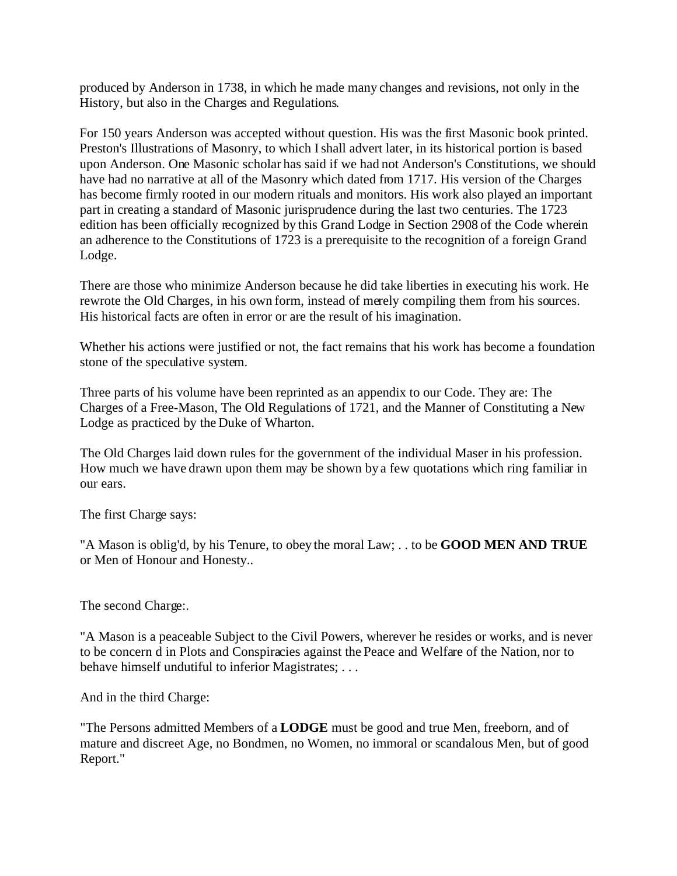produced by Anderson in 1738, in which he made many changes and revisions, not only in the History, but also in the Charges and Regulations.

For 150 years Anderson was accepted without question. His was the first Masonic book printed. Preston's Illustrations of Masonry, to which I shall advert later, in its historical portion is based upon Anderson. One Masonic scholar has said if we had not Anderson's Constitutions, we should have had no narrative at all of the Masonry which dated from 1717. His version of the Charges has become firmly rooted in our modern rituals and monitors. His work also played an important part in creating a standard of Masonic jurisprudence during the last two centuries. The 1723 edition has been officially recognized by this Grand Lodge in Section 2908 of the Code wherein an adherence to the Constitutions of 1723 is a prerequisite to the recognition of a foreign Grand Lodge.

There are those who minimize Anderson because he did take liberties in executing his work. He rewrote the Old Charges, in his own form, instead of merely compiling them from his sources. His historical facts are often in error or are the result of his imagination.

Whether his actions were justified or not, the fact remains that his work has become a foundation stone of the speculative system.

Three parts of his volume have been reprinted as an appendix to our Code. They are: The Charges of a Free-Mason, The Old Regulations of 1721, and the Manner of Constituting a New Lodge as practiced by the Duke of Wharton.

The Old Charges laid down rules for the government of the individual Maser in his profession. How much we have drawn upon them may be shown by a few quotations which ring familiar in our ears.

The first Charge says:

"A Mason is oblig'd, by his Tenure, to obey the moral Law; . . to be **GOOD MEN AND TRUE** or Men of Honour and Honesty..

The second Charge:.

"A Mason is a peaceable Subject to the Civil Powers, wherever he resides or works, and is never to be concern d in Plots and Conspiracies against the Peace and Welfare of the Nation, nor to behave himself undutiful to inferior Magistrates; . . .

And in the third Charge:

"The Persons admitted Members of a **LODGE** must be good and true Men, freeborn, and of mature and discreet Age, no Bondmen, no Women, no immoral or scandalous Men, but of good Report."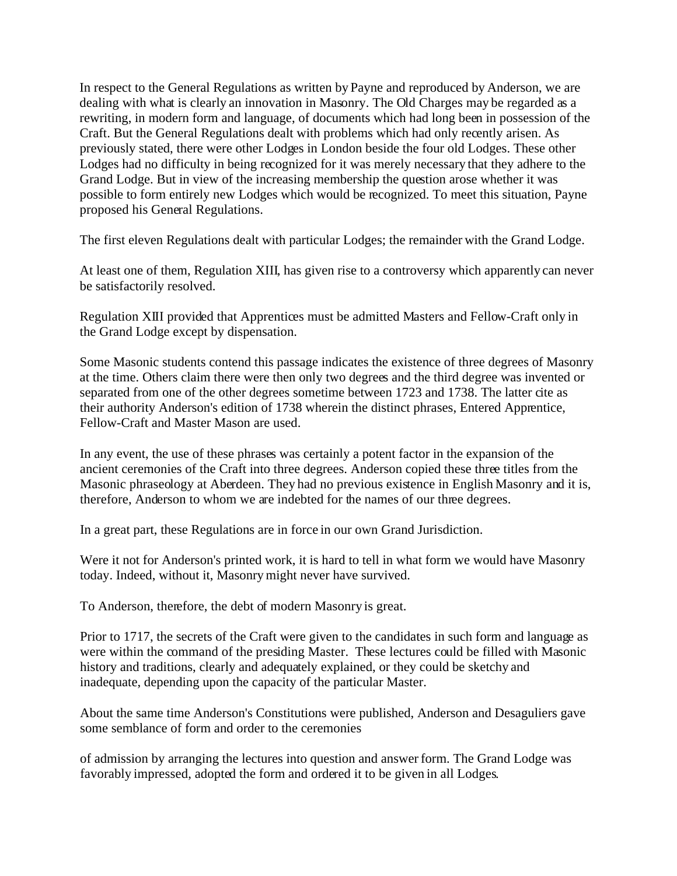In respect to the General Regulations as written by Payne and reproduced by Anderson, we are dealing with what is clearly an innovation in Masonry. The Old Charges may be regarded as a rewriting, in modern form and language, of documents which had long been in possession of the Craft. But the General Regulations dealt with problems which had only recently arisen. As previously stated, there were other Lodges in London beside the four old Lodges. These other Lodges had no difficulty in being recognized for it was merely necessary that they adhere to the Grand Lodge. But in view of the increasing membership the question arose whether it was possible to form entirely new Lodges which would be recognized. To meet this situation, Payne proposed his General Regulations.

The first eleven Regulations dealt with particular Lodges; the remainder with the Grand Lodge.

At least one of them, Regulation XIII, has given rise to a controversy which apparently can never be satisfactorily resolved.

Regulation XIII provided that Apprentices must be admitted Masters and Fellow-Craft only in the Grand Lodge except by dispensation.

Some Masonic students contend this passage indicates the existence of three degrees of Masonry at the time. Others claim there were then only two degrees and the third degree was invented or separated from one of the other degrees sometime between 1723 and 1738. The latter cite as their authority Anderson's edition of 1738 wherein the distinct phrases, Entered Apprentice, Fellow-Craft and Master Mason are used.

In any event, the use of these phrases was certainly a potent factor in the expansion of the ancient ceremonies of the Craft into three degrees. Anderson copied these three titles from the Masonic phraseology at Aberdeen. They had no previous existence in English Masonry and it is, therefore, Anderson to whom we are indebted for the names of our three degrees.

In a great part, these Regulations are in force in our own Grand Jurisdiction.

Were it not for Anderson's printed work, it is hard to tell in what form we would have Masonry today. Indeed, without it, Masonry might never have survived.

To Anderson, therefore, the debt of modern Masonry is great.

Prior to 1717, the secrets of the Craft were given to the candidates in such form and language as were within the command of the presiding Master. These lectures could be filled with Masonic history and traditions, clearly and adequately explained, or they could be sketchy and inadequate, depending upon the capacity of the particular Master.

About the same time Anderson's Constitutions were published, Anderson and Desaguliers gave some semblance of form and order to the ceremonies

of admission by arranging the lectures into question and answer form. The Grand Lodge was favorably impressed, adopted the form and ordered it to be given in all Lodges.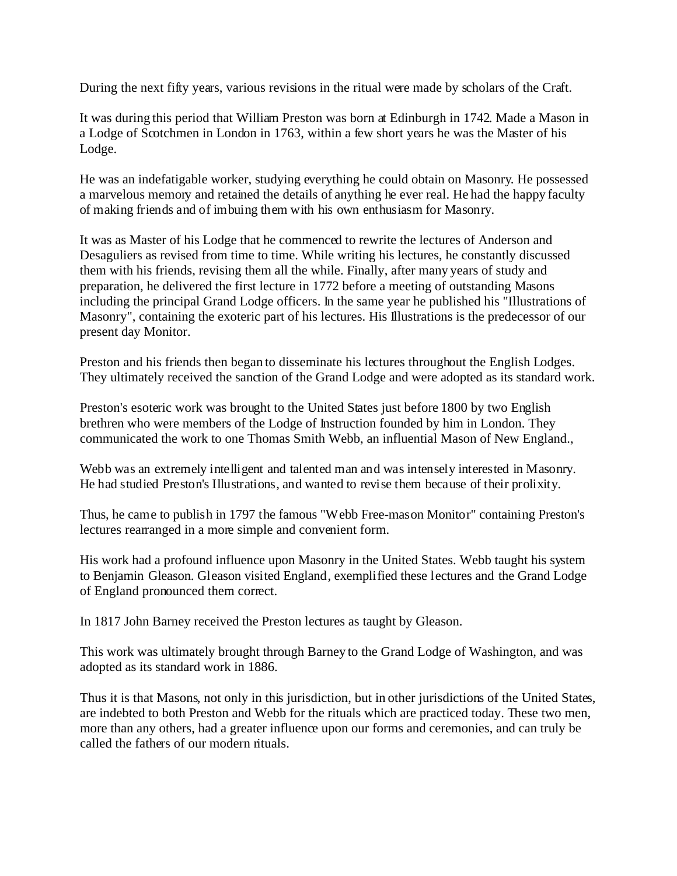During the next fifty years, various revisions in the ritual were made by scholars of the Craft.

It was during this period that William Preston was born at Edinburgh in 1742. Made a Mason in a Lodge of Scotchmen in London in 1763, within a few short years he was the Master of his Lodge.

He was an indefatigable worker, studying everything he could obtain on Masonry. He possessed a marvelous memory and retained the details of anything he ever real. He had the happy faculty of making friends and of imbuing them with his own enthusiasm for Masonry.

It was as Master of his Lodge that he commenced to rewrite the lectures of Anderson and Desaguliers as revised from time to time. While writing his lectures, he constantly discussed them with his friends, revising them all the while. Finally, after many years of study and preparation, he delivered the first lecture in 1772 before a meeting of outstanding Masons including the principal Grand Lodge officers. In the same year he published his "Illustrations of Masonry", containing the exoteric part of his lectures. His Illustrations is the predecessor of our present day Monitor.

Preston and his friends then began to disseminate his lectures throughout the English Lodges. They ultimately received the sanction of the Grand Lodge and were adopted as its standard work.

Preston's esoteric work was brought to the United States just before 1800 by two English brethren who were members of the Lodge of Instruction founded by him in London. They communicated the work to one Thomas Smith Webb, an influential Mason of New England.,

Webb was an extremely intelligent and talented man and was intensely interested in Masonry. He had studied Preston's Illustrations, and wanted to revise them because of their prolixity.

Thus, he came to publish in 1797 the famous "Webb Free-mason Monitor" containing Preston's lectures rearranged in a more simple and convenient form.

His work had a profound influence upon Masonry in the United States. Webb taught his system to Benjamin Gleason. Gleason visited England, exemplified these lectures and the Grand Lodge of England pronounced them correct.

In 1817 John Barney received the Preston lectures as taught by Gleason.

This work was ultimately brought through Barney to the Grand Lodge of Washington, and was adopted as its standard work in 1886.

Thus it is that Masons, not only in this jurisdiction, but in other jurisdictions of the United States, are indebted to both Preston and Webb for the rituals which are practiced today. These two men, more than any others, had a greater influence upon our forms and ceremonies, and can truly be called the fathers of our modern rituals.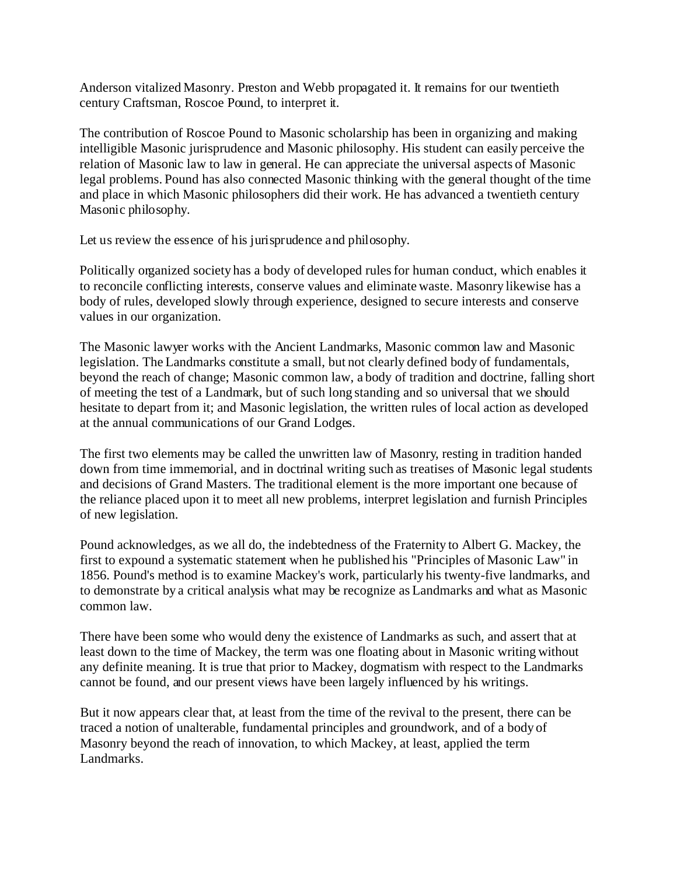Anderson vitalized Masonry. Preston and Webb propagated it. It remains for our twentieth century Craftsman, Roscoe Pound, to interpret it.

The contribution of Roscoe Pound to Masonic scholarship has been in organizing and making intelligible Masonic jurisprudence and Masonic philosophy. His student can easily perceive the relation of Masonic law to law in general. He can appreciate the universal aspects of Masonic legal problems. Pound has also connected Masonic thinking with the general thought of the time and place in which Masonic philosophers did their work. He has advanced a twentieth century Masonic philosophy.

Let us review the essence of his jurisprudence and philosophy.

Politically organized society has a body of developed rules for human conduct, which enables it to reconcile conflicting interests, conserve values and eliminate waste. Masonry likewise has a body of rules, developed slowly through experience, designed to secure interests and conserve values in our organization.

The Masonic lawyer works with the Ancient Landmarks, Masonic common law and Masonic legislation. The Landmarks constitute a small, but not clearly defined body of fundamentals, beyond the reach of change; Masonic common law, a body of tradition and doctrine, falling short of meeting the test of a Landmark, but of such long standing and so universal that we should hesitate to depart from it; and Masonic legislation, the written rules of local action as developed at the annual communications of our Grand Lodges.

The first two elements may be called the unwritten law of Masonry, resting in tradition handed down from time immemorial, and in doctrinal writing such as treatises of Masonic legal students and decisions of Grand Masters. The traditional element is the more important one because of the reliance placed upon it to meet all new problems, interpret legislation and furnish Principles of new legislation.

Pound acknowledges, as we all do, the indebtedness of the Fraternity to Albert G. Mackey, the first to expound a systematic statement when he published his "Principles of Masonic Law" in 1856. Pound's method is to examine Mackey's work, particularly his twenty-five landmarks, and to demonstrate by a critical analysis what may be recognize as Landmarks and what as Masonic common law.

There have been some who would deny the existence of Landmarks as such, and assert that at least down to the time of Mackey, the term was one floating about in Masonic writing without any definite meaning. It is true that prior to Mackey, dogmatism with respect to the Landmarks cannot be found, and our present views have been largely influenced by his writings.

But it now appears clear that, at least from the time of the revival to the present, there can be traced a notion of unalterable, fundamental principles and groundwork, and of a body of Masonry beyond the reach of innovation, to which Mackey, at least, applied the term Landmarks.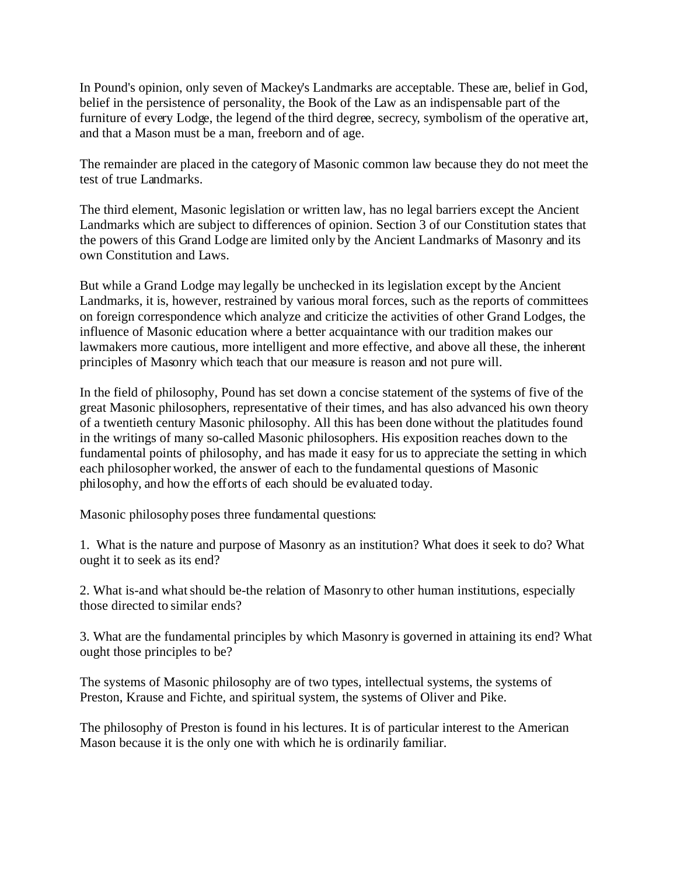In Pound's opinion, only seven of Mackey's Landmarks are acceptable. These are, belief in God, belief in the persistence of personality, the Book of the Law as an indispensable part of the furniture of every Lodge, the legend of the third degree, secrecy, symbolism of the operative art, and that a Mason must be a man, freeborn and of age.

The remainder are placed in the category of Masonic common law because they do not meet the test of true Landmarks.

The third element, Masonic legislation or written law, has no legal barriers except the Ancient Landmarks which are subject to differences of opinion. Section 3 of our Constitution states that the powers of this Grand Lodge are limited only by the Ancient Landmarks of Masonry and its own Constitution and Laws.

But while a Grand Lodge may legally be unchecked in its legislation except by the Ancient Landmarks, it is, however, restrained by various moral forces, such as the reports of committees on foreign correspondence which analyze and criticize the activities of other Grand Lodges, the influence of Masonic education where a better acquaintance with our tradition makes our lawmakers more cautious, more intelligent and more effective, and above all these, the inherent principles of Masonry which teach that our measure is reason and not pure will.

In the field of philosophy, Pound has set down a concise statement of the systems of five of the great Masonic philosophers, representative of their times, and has also advanced his own theory of a twentieth century Masonic philosophy. All this has been done without the platitudes found in the writings of many so-called Masonic philosophers. His exposition reaches down to the fundamental points of philosophy, and has made it easy for us to appreciate the setting in which each philosopher worked, the answer of each to the fundamental questions of Masonic philosophy, and how the efforts of each should be evaluated today.

Masonic philosophy poses three fundamental questions:

1. What is the nature and purpose of Masonry as an institution? What does it seek to do? What ought it to seek as its end?

2. What is-and what should be-the relation of Masonry to other human institutions, especially those directed to similar ends?

3. What are the fundamental principles by which Masonry is governed in attaining its end? What ought those principles to be?

The systems of Masonic philosophy are of two types, intellectual systems, the systems of Preston, Krause and Fichte, and spiritual system, the systems of Oliver and Pike.

The philosophy of Preston is found in his lectures. It is of particular interest to the American Mason because it is the only one with which he is ordinarily familiar.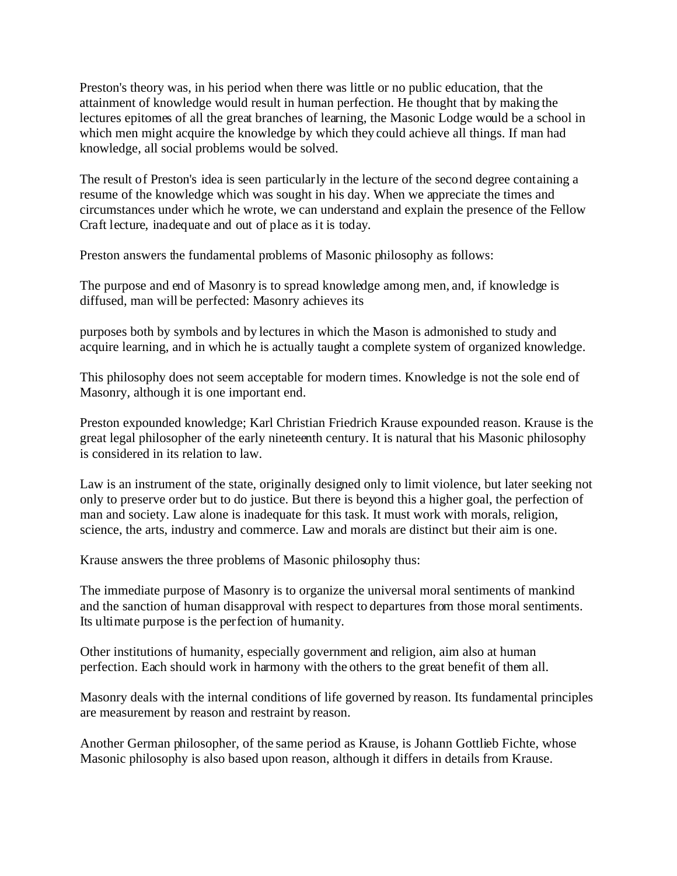Preston's theory was, in his period when there was little or no public education, that the attainment of knowledge would result in human perfection. He thought that by making the lectures epitomes of all the great branches of learning, the Masonic Lodge would be a school in which men might acquire the knowledge by which they could achieve all things. If man had knowledge, all social problems would be solved.

The result of Preston's idea is seen particularly in the lecture of the second degree containing a resume of the knowledge which was sought in his day. When we appreciate the times and circumstances under which he wrote, we can understand and explain the presence of the Fellow Craft lecture, inadequate and out of place as it is today.

Preston answers the fundamental problems of Masonic philosophy as follows:

The purpose and end of Masonry is to spread knowledge among men, and, if knowledge is diffused, man will be perfected: Masonry achieves its

purposes both by symbols and by lectures in which the Mason is admonished to study and acquire learning, and in which he is actually taught a complete system of organized knowledge.

This philosophy does not seem acceptable for modern times. Knowledge is not the sole end of Masonry, although it is one important end.

Preston expounded knowledge; Karl Christian Friedrich Krause expounded reason. Krause is the great legal philosopher of the early nineteenth century. It is natural that his Masonic philosophy is considered in its relation to law.

Law is an instrument of the state, originally designed only to limit violence, but later seeking not only to preserve order but to do justice. But there is beyond this a higher goal, the perfection of man and society. Law alone is inadequate for this task. It must work with morals, religion, science, the arts, industry and commerce. Law and morals are distinct but their aim is one.

Krause answers the three problems of Masonic philosophy thus:

The immediate purpose of Masonry is to organize the universal moral sentiments of mankind and the sanction of human disapproval with respect to departures from those moral sentiments. Its ultimate purpose is the perfection of humanity.

Other institutions of humanity, especially government and religion, aim also at human perfection. Each should work in harmony with the others to the great benefit of them all.

Masonry deals with the internal conditions of life governed by reason. Its fundamental principles are measurement by reason and restraint by reason.

Another German philosopher, of the same period as Krause, is Johann Gottlieb Fichte, whose Masonic philosophy is also based upon reason, although it differs in details from Krause.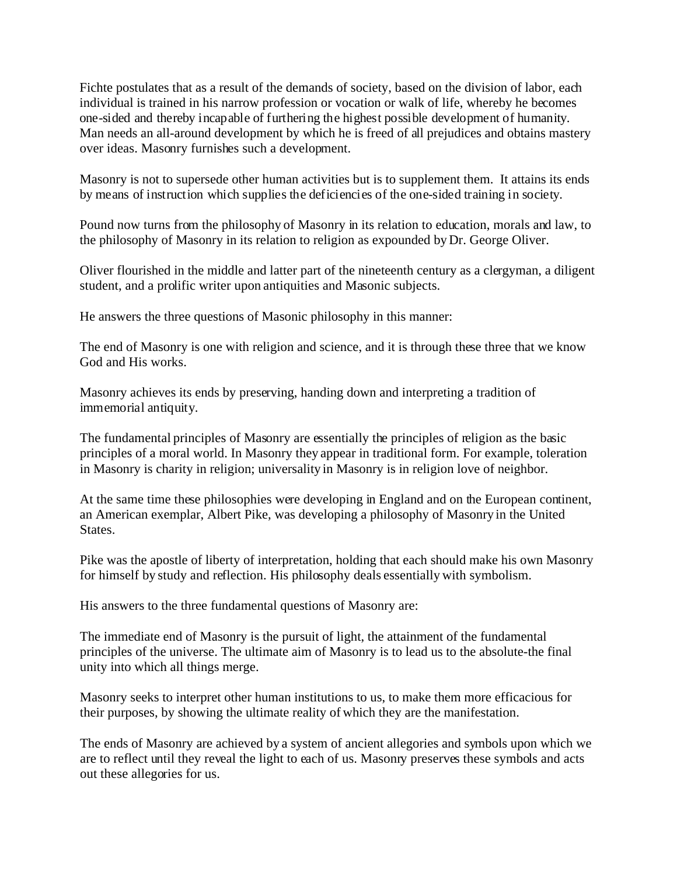Fichte postulates that as a result of the demands of society, based on the division of labor, each individual is trained in his narrow profession or vocation or walk of life, whereby he becomes one-sided and thereby incapable of furthering the highest possible development of humanity. Man needs an all-around development by which he is freed of all prejudices and obtains mastery over ideas. Masonry furnishes such a development.

Masonry is not to supersede other human activities but is to supplement them. It attains its ends by means of instruction which supplies the deficiencies of the one-sided training in society.

Pound now turns from the philosophy of Masonry in its relation to education, morals and law, to the philosophy of Masonry in its relation to religion as expounded by Dr. George Oliver.

Oliver flourished in the middle and latter part of the nineteenth century as a clergyman, a diligent student, and a prolific writer upon antiquities and Masonic subjects.

He answers the three questions of Masonic philosophy in this manner:

The end of Masonry is one with religion and science, and it is through these three that we know God and His works.

Masonry achieves its ends by preserving, handing down and interpreting a tradition of immemorial antiquity.

The fundamental principles of Masonry are essentially the principles of religion as the basic principles of a moral world. In Masonry they appear in traditional form. For example, toleration in Masonry is charity in religion; universality in Masonry is in religion love of neighbor.

At the same time these philosophies were developing in England and on the European continent, an American exemplar, Albert Pike, was developing a philosophy of Masonry in the United States.

Pike was the apostle of liberty of interpretation, holding that each should make his own Masonry for himself by study and reflection. His philosophy deals essentially with symbolism.

His answers to the three fundamental questions of Masonry are:

The immediate end of Masonry is the pursuit of light, the attainment of the fundamental principles of the universe. The ultimate aim of Masonry is to lead us to the absolute-the final unity into which all things merge.

Masonry seeks to interpret other human institutions to us, to make them more efficacious for their purposes, by showing the ultimate reality of which they are the manifestation.

The ends of Masonry are achieved by a system of ancient allegories and symbols upon which we are to reflect until they reveal the light to each of us. Masonry preserves these symbols and acts out these allegories for us.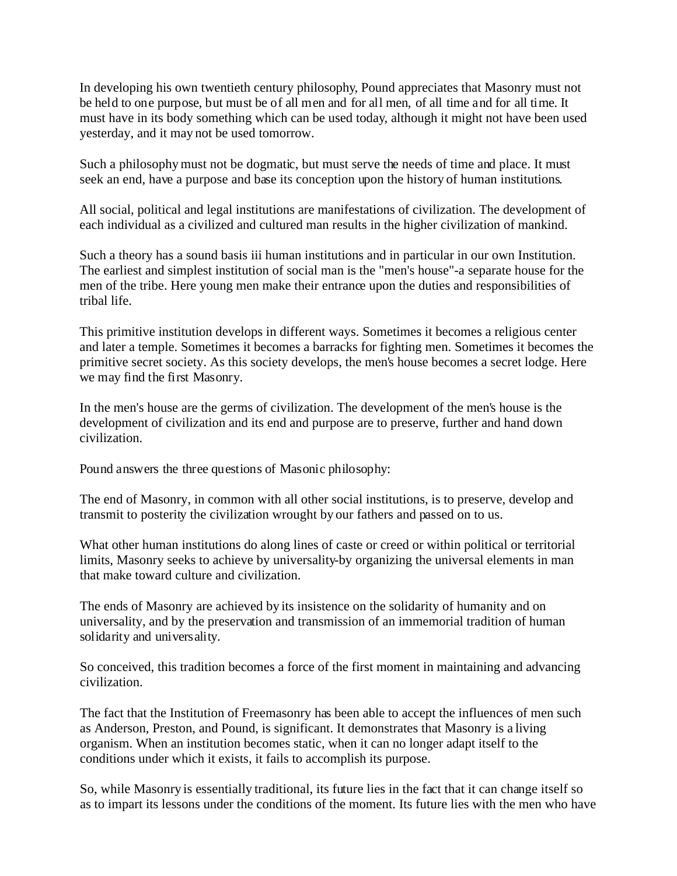In developing his own twentieth century philosophy, Pound appreciates that Masonry must not be held to one purpose, but must be of all men and for all men, of all time and for all time. It must have in its body something which can be used today, although it might not have been used yesterday, and it may not be used tomorrow.

Such a philosophy must not be dogmatic, but must serve the needs of time and place. It must seek an end, have a purpose and base its conception upon the history of human institutions.

All social, political and legal institutions are manifestations of civilization. The development of each individual as a civilized and cultured man results in the higher civilization of mankind.

Such a theory has a sound basis iii human institutions and in particular in our own Institution. The earliest and simplest institution of social man is the "men's house"-a separate house for the men of the tribe. Here young men make their entrance upon the duties and responsibilities of tribal life.

This primitive institution develops in different ways. Sometimes it becomes a religious center and later a temple. Sometimes it becomes a barracks for fighting men. Sometimes it becomes the primitive secret society. As this society develops, the men's house becomes a secret lodge. Here we may find the first Masonry.

In the men's house are the germs of civilization. The development of the men's house is the development of civilization and its end and purpose are to preserve, further and hand down civilization.

Pound answers the three questions of Masonic philosophy:

The end of Masonry, in common with all other social institutions, is to preserve, develop and transmit to posterity the civilization wrought by our fathers and passed on to us.

What other human institutions do along lines of caste or creed or within political or territorial limits, Masonry seeks to achieve by universality-by organizing the universal elements in man that make toward culture and civilization.

The ends of Masonry are achieved by its insistence on the solidarity of humanity and on universality, and by the preservation and transmission of an immemorial tradition of human solidarity and universality.

So conceived, this tradition becomes a force of the first moment in maintaining and advancing civilization.

The fact that the Institution of Freemasonry has been able to accept the influences of men such as Anderson, Preston, and Pound, is significant. It demonstrates that Masonry is a living organism. When an institution becomes static, when it can no longer adapt itself to the conditions under which it exists, it fails to accomplish its purpose.

So, while Masonry is essentially traditional, its future lies in the fact that it can change itself so as to impart its lessons under the conditions of the moment. Its future lies with the men who have